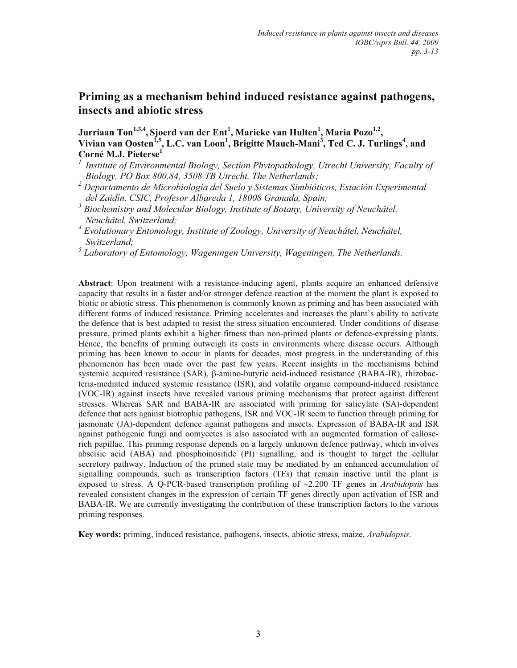# **Priming as a mechanism behind induced resistance against pathogens, insects and abiotic stress**

**Jurriaan Ton1,3,4, Sjoerd van der Ent<sup>1</sup> , Marieke van Hulten<sup>1</sup> , Maria Pozo1,2 , Vivian van Oosten1,5, L.C. van Loon<sup>1</sup> , Brigitte Mauch-Mani<sup>3</sup> , Ted C. J. Turlings<sup>4</sup> , and Corné M.J. Pieterse<sup>1</sup>**

- *<sup>1</sup>Institute of Environmental Biology, Section Phytopathology, Utrecht University, Faculty of Biology, PO Box 800.84, 3508 TB Utrecht, The Netherlands;*
- *<sup>2</sup> Departamento de Microbiología del Suelo y Sistemas Simbióticos, Estación Experimental del Zaidín, CSIC, Profesor Albareda 1, 18008 Granada, Spain;*
- *3 Biochemistry and Molecular Biology, Institute of Botany, University of Neuchâtel, Neuchâtel, Switzerland;*

*4 Evolutionary Entomology, Institute of Zoology, University of Neuchâtel, Neuchâtel, Switzerland;* 

*5 Laboratory of Entomology, Wageningen University, Wageningen, The Netherlands.* 

**Abstract**: Upon treatment with a resistance-inducing agent, plants acquire an enhanced defensive capacity that results in a faster and/or stronger defence reaction at the moment the plant is exposed to biotic or abiotic stress. This phenomenon is commonly known as priming and has been associated with different forms of induced resistance. Priming accelerates and increases the plant's ability to activate the defence that is best adapted to resist the stress situation encountered. Under conditions of disease pressure, primed plants exhibit a higher fitness than non-primed plants or defence-expressing plants. Hence, the benefits of priming outweigh its costs in environments where disease occurs. Although priming has been known to occur in plants for decades, most progress in the understanding of this phenomenon has been made over the past few years. Recent insights in the mechanisms behind systemic acquired resistance (SAR),  $\beta$ -amino-butyric acid-induced resistance (BABA-IR), rhizobacteria-mediated induced systemic resistance (ISR), and volatile organic compound-induced resistance (VOC-IR) against insects have revealed various priming mechanisms that protect against different stresses. Whereas SAR and BABA-IR are associated with priming for salicylate (SA)-dependent defence that acts against biotrophic pathogens, ISR and VOC-IR seem to function through priming for jasmonate (JA)-dependent defence against pathogens and insects. Expression of BABA-IR and ISR against pathogenic fungi and oomycetes is also associated with an augmented formation of calloserich papillae. This priming response depends on a largely unknown defence pathway, which involves abscisic acid (ABA) and phosphoinositide (PI) signalling, and is thought to target the cellular secretory pathway. Induction of the primed state may be mediated by an enhanced accumulation of signalling compounds, such as transcription factors (TFs) that remain inactive until the plant is exposed to stress. A Q-PCR-based transcription profiling of ~2.200 TF genes in *Arabidopsis* has revealed consistent changes in the expression of certain TF genes directly upon activation of ISR and BABA-IR. We are currently investigating the contribution of these transcription factors to the various priming responses.

**Key words:** priming, induced resistance, pathogens, insects, abiotic stress, maize, *Arabidopsis*.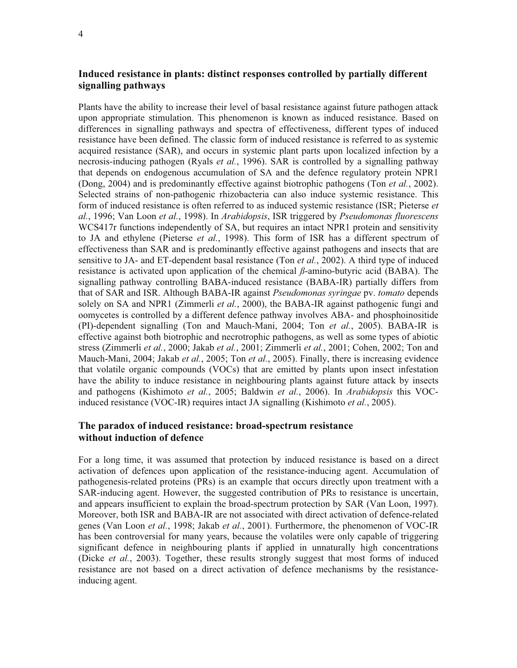## **Induced resistance in plants: distinct responses controlled by partially different signalling pathways**

Plants have the ability to increase their level of basal resistance against future pathogen attack upon appropriate stimulation. This phenomenon is known as induced resistance. Based on differences in signalling pathways and spectra of effectiveness, different types of induced resistance have been defined. The classic form of induced resistance is referred to as systemic acquired resistance (SAR), and occurs in systemic plant parts upon localized infection by a necrosis-inducing pathogen (Ryals *et al.*, 1996). SAR is controlled by a signalling pathway that depends on endogenous accumulation of SA and the defence regulatory protein NPR1 (Dong, 2004) and is predominantly effective against biotrophic pathogens (Ton *et al.*, 2002). Selected strains of non-pathogenic rhizobacteria can also induce systemic resistance. This form of induced resistance is often referred to as induced systemic resistance (ISR; Pieterse *et al.*, 1996; Van Loon *et al.*, 1998). In *Arabidopsis*, ISR triggered by *Pseudomonas fluorescens* WCS417r functions independently of SA, but requires an intact NPR1 protein and sensitivity to JA and ethylene (Pieterse *et al.*, 1998). This form of ISR has a different spectrum of effectiveness than SAR and is predominantly effective against pathogens and insects that are sensitive to JA- and ET-dependent basal resistance (Ton *et al.*, 2002). A third type of induced resistance is activated upon application of the chemical *ß*-amino-butyric acid (BABA). The signalling pathway controlling BABA-induced resistance (BABA-IR) partially differs from that of SAR and ISR. Although BABA-IR against *Pseudomonas syringae* pv. *tomato* depends solely on SA and NPR1 (Zimmerli *et al.*, 2000), the BABA-IR against pathogenic fungi and oomycetes is controlled by a different defence pathway involves ABA- and phosphoinositide (PI)-dependent signalling (Ton and Mauch-Mani, 2004; Ton *et al.*, 2005). BABA-IR is effective against both biotrophic and necrotrophic pathogens, as well as some types of abiotic stress (Zimmerli *et al.*, 2000; Jakab *et al.*, 2001; Zimmerli *et al.*, 2001; Cohen, 2002; Ton and Mauch-Mani, 2004; Jakab *et al.*, 2005; Ton *et al.*, 2005). Finally, there is increasing evidence that volatile organic compounds (VOCs) that are emitted by plants upon insect infestation have the ability to induce resistance in neighbouring plants against future attack by insects and pathogens (Kishimoto *et al.*, 2005; Baldwin *et al.*, 2006). In *Arabidopsis* this VOCinduced resistance (VOC-IR) requires intact JA signalling (Kishimoto *et al.*, 2005).

## **The paradox of induced resistance: broad-spectrum resistance without induction of defence**

For a long time, it was assumed that protection by induced resistance is based on a direct activation of defences upon application of the resistance-inducing agent. Accumulation of pathogenesis-related proteins (PRs) is an example that occurs directly upon treatment with a SAR-inducing agent. However, the suggested contribution of PRs to resistance is uncertain, and appears insufficient to explain the broad-spectrum protection by SAR (Van Loon, 1997). Moreover, both ISR and BABA-IR are not associated with direct activation of defence-related genes (Van Loon *et al.*, 1998; Jakab *et al.*, 2001). Furthermore, the phenomenon of VOC-IR has been controversial for many years, because the volatiles were only capable of triggering significant defence in neighbouring plants if applied in unnaturally high concentrations (Dicke *et al.*, 2003). Together, these results strongly suggest that most forms of induced resistance are not based on a direct activation of defence mechanisms by the resistanceinducing agent.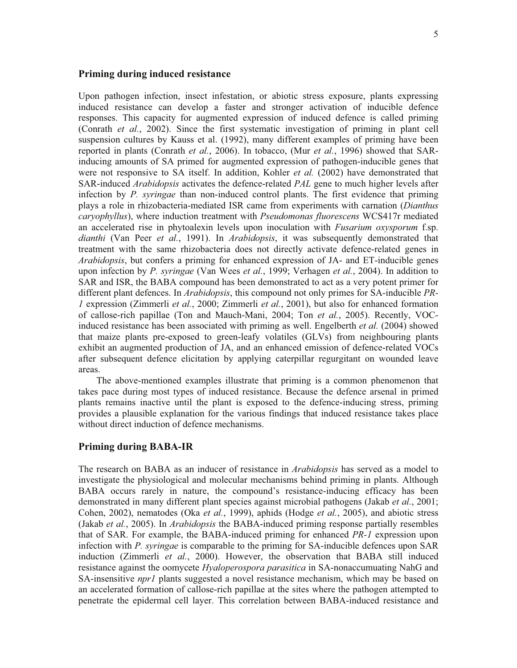### **Priming during induced resistance**

Upon pathogen infection, insect infestation, or abiotic stress exposure, plants expressing induced resistance can develop a faster and stronger activation of inducible defence responses. This capacity for augmented expression of induced defence is called priming (Conrath *et al.*, 2002). Since the first systematic investigation of priming in plant cell suspension cultures by Kauss et al. (1992), many different examples of priming have been reported in plants (Conrath *et al.*, 2006). In tobacco, (Mur *et al.*, 1996) showed that SARinducing amounts of SA primed for augmented expression of pathogen-inducible genes that were not responsive to SA itself. In addition, Kohler *et al.* (2002) have demonstrated that SAR-induced *Arabidopsis* activates the defence-related *PAL* gene to much higher levels after infection by *P. syringae* than non-induced control plants. The first evidence that priming plays a role in rhizobacteria-mediated ISR came from experiments with carnation (*Dianthus caryophyllus*), where induction treatment with *Pseudomonas fluorescens* WCS417r mediated an accelerated rise in phytoalexin levels upon inoculation with *Fusarium oxysporum* f.sp. *dianthi* (Van Peer *et al.*, 1991). In *Arabidopsis*, it was subsequently demonstrated that treatment with the same rhizobacteria does not directly activate defence-related genes in *Arabidopsis*, but confers a priming for enhanced expression of JA- and ET-inducible genes upon infection by *P. syringae* (Van Wees *et al.*, 1999; Verhagen *et al.*, 2004). In addition to SAR and ISR, the BABA compound has been demonstrated to act as a very potent primer for different plant defences. In *Arabidopsis*, this compound not only primes for SA-inducible *PR-1* expression (Zimmerli *et al.*, 2000; Zimmerli *et al.*, 2001), but also for enhanced formation of callose-rich papillae (Ton and Mauch-Mani, 2004; Ton *et al.*, 2005). Recently, VOCinduced resistance has been associated with priming as well. Engelberth *et al.* (2004) showed that maize plants pre-exposed to green-leafy volatiles (GLVs) from neighbouring plants exhibit an augmented production of JA, and an enhanced emission of defence-related VOCs after subsequent defence elicitation by applying caterpillar regurgitant on wounded leave areas.

The above-mentioned examples illustrate that priming is a common phenomenon that takes pace during most types of induced resistance. Because the defence arsenal in primed plants remains inactive until the plant is exposed to the defence-inducing stress, priming provides a plausible explanation for the various findings that induced resistance takes place without direct induction of defence mechanisms.

#### **Priming during BABA-IR**

The research on BABA as an inducer of resistance in *Arabidopsis* has served as a model to investigate the physiological and molecular mechanisms behind priming in plants. Although BABA occurs rarely in nature, the compound's resistance-inducing efficacy has been demonstrated in many different plant species against microbial pathogens (Jakab *et al.*, 2001; Cohen, 2002), nematodes (Oka *et al.*, 1999), aphids (Hodge *et al.*, 2005), and abiotic stress (Jakab *et al.*, 2005). In *Arabidopsis* the BABA-induced priming response partially resembles that of SAR. For example, the BABA-induced priming for enhanced *PR-1* expression upon infection with *P. syringae* is comparable to the priming for SA-inducible defences upon SAR induction (Zimmerli *et al.*, 2000). However, the observation that BABA still induced resistance against the oomycete *Hyaloperospora parasitica* in SA-nonaccumuating NahG and SA-insensitive *npr1* plants suggested a novel resistance mechanism, which may be based on an accelerated formation of callose-rich papillae at the sites where the pathogen attempted to penetrate the epidermal cell layer. This correlation between BABA-induced resistance and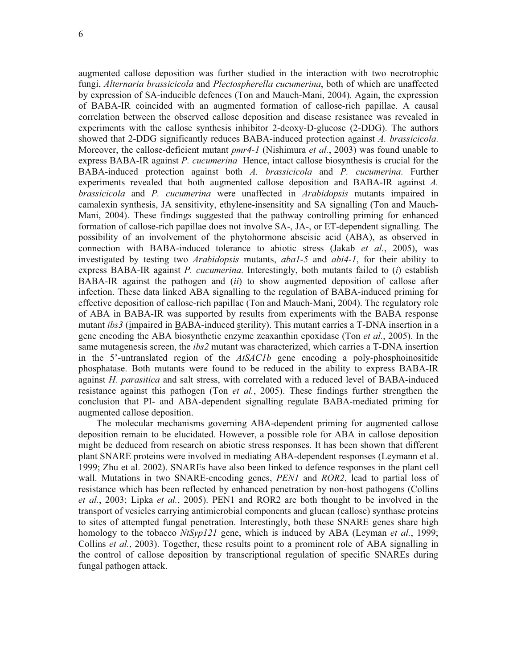augmented callose deposition was further studied in the interaction with two necrotrophic fungi, *Alternaria brassicicola* and *Plectospherella cucumerina*, both of which are unaffected by expression of SA-inducible defences (Ton and Mauch-Mani, 2004). Again, the expression of BABA-IR coincided with an augmented formation of callose-rich papillae. A causal correlation between the observed callose deposition and disease resistance was revealed in experiments with the callose synthesis inhibitor 2-deoxy-D-glucose (2-DDG). The authors showed that 2-DDG significantly reduces BABA-induced protection against *A. brassicicola*. Moreover, the callose-deficient mutant *pmr4-1* (Nishimura *et al.*, 2003) was found unable to express BABA-IR against *P. cucumerina* Hence, intact callose biosynthesis is crucial for the BABA-induced protection against both *A. brassicicola* and *P. cucumerina*. Further experiments revealed that both augmented callose deposition and BABA-IR against *A. brassicicola* and *P. cucumerina* were unaffected in *Arabidopsis* mutants impaired in camalexin synthesis, JA sensitivity, ethylene-insensitity and SA signalling (Ton and Mauch-Mani, 2004). These findings suggested that the pathway controlling priming for enhanced formation of callose-rich papillae does not involve SA-, JA-, or ET-dependent signalling. The possibility of an involvement of the phytohormone abscisic acid (ABA), as observed in connection with BABA-induced tolerance to abiotic stress (Jakab *et al.*, 2005), was investigated by testing two *Arabidopsis* mutants, *aba1-5* and *abi4-1*, for their ability to express BABA-IR against *P. cucumerina*. Interestingly, both mutants failed to (*i*) establish BABA-IR against the pathogen and (*ii*) to show augmented deposition of callose after infection. These data linked ABA signalling to the regulation of BABA-induced priming for effective deposition of callose-rich papillae (Ton and Mauch-Mani, 2004). The regulatory role of ABA in BABA-IR was supported by results from experiments with the BABA response mutant *ibs3* (impaired in BABA-induced sterility). This mutant carries a T-DNA insertion in a gene encoding the ABA biosynthetic enzyme zeaxanthin epoxidase (Ton *et al.*, 2005). In the same mutagenesis screen, the *ibs2* mutant was characterized, which carries a T-DNA insertion in the 5'-untranslated region of the *AtSAC1b* gene encoding a poly-phosphoinositide phosphatase. Both mutants were found to be reduced in the ability to express BABA-IR against *H. parasitica* and salt stress, with correlated with a reduced level of BABA-induced resistance against this pathogen (Ton *et al.*, 2005). These findings further strengthen the conclusion that PI- and ABA-dependent signalling regulate BABA-mediated priming for augmented callose deposition.

The molecular mechanisms governing ABA-dependent priming for augmented callose deposition remain to be elucidated. However, a possible role for ABA in callose deposition might be deduced from research on abiotic stress responses. It has been shown that different plant SNARE proteins were involved in mediating ABA-dependent responses (Leymann et al. 1999; Zhu et al. 2002). SNAREs have also been linked to defence responses in the plant cell wall. Mutations in two SNARE-encoding genes, *PEN1* and *ROR2*, lead to partial loss of resistance which has been reflected by enhanced penetration by non-host pathogens (Collins *et al.*, 2003; Lipka *et al.*, 2005). PEN1 and ROR2 are both thought to be involved in the transport of vesicles carrying antimicrobial components and glucan (callose) synthase proteins to sites of attempted fungal penetration. Interestingly, both these SNARE genes share high homology to the tobacco *NtSyp121* gene, which is induced by ABA (Leyman *et al.*, 1999; Collins *et al.*, 2003). Together, these results point to a prominent role of ABA signalling in the control of callose deposition by transcriptional regulation of specific SNAREs during fungal pathogen attack.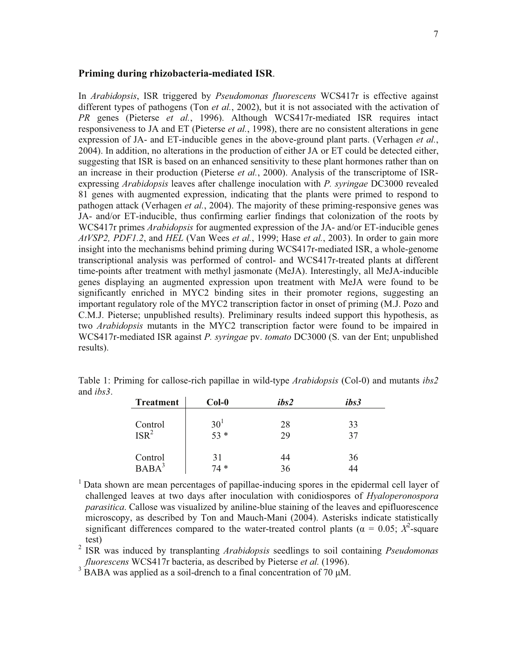#### **Priming during rhizobacteria-mediated ISR**.

In *Arabidopsis*, ISR triggered by *Pseudomonas fluorescens* WCS417r is effective against different types of pathogens (Ton *et al.*, 2002), but it is not associated with the activation of *PR* genes (Pieterse *et al.*, 1996). Although WCS417r-mediated ISR requires intact responsiveness to JA and ET (Pieterse *et al.*, 1998), there are no consistent alterations in gene expression of JA- and ET-inducible genes in the above-ground plant parts. (Verhagen *et al.*, 2004). In addition, no alterations in the production of either JA or ET could be detected either, suggesting that ISR is based on an enhanced sensitivity to these plant hormones rather than on an increase in their production (Pieterse *et al.*, 2000). Analysis of the transcriptome of ISRexpressing *Arabidopsis* leaves after challenge inoculation with *P. syringae* DC3000 revealed 81 genes with augmented expression, indicating that the plants were primed to respond to pathogen attack (Verhagen *et al.*, 2004). The majority of these priming-responsive genes was JA- and/or ET-inducible, thus confirming earlier findings that colonization of the roots by WCS417r primes *Arabidopsis* for augmented expression of the JA- and/or ET-inducible genes *AtVSP2, PDF1.2*, and *HEL* (Van Wees *et al.*, 1999; Hase *et al.*, 2003). In order to gain more insight into the mechanisms behind priming during WCS417r-mediated ISR, a whole-genome transcriptional analysis was performed of control- and WCS417r-treated plants at different time-points after treatment with methyl jasmonate (MeJA). Interestingly, all MeJA-inducible genes displaying an augmented expression upon treatment with MeJA were found to be significantly enriched in MYC2 binding sites in their promoter regions, suggesting an important regulatory role of the MYC2 transcription factor in onset of priming (M.J. Pozo and C.M.J. Pieterse; unpublished results). Preliminary results indeed support this hypothesis, as two *Arabidopsis* mutants in the MYC2 transcription factor were found to be impaired in WCS417r-mediated ISR against *P. syringae* pv. *tomato* DC3000 (S. van der Ent; unpublished results).

| <b>Treatment</b>            | $Col-0$              | ibs2     | ibs3     |
|-----------------------------|----------------------|----------|----------|
| Control<br>ISR <sup>2</sup> | $\frac{30^{1}}{53*}$ | 28<br>29 | 33<br>37 |
| Control                     | 31<br>74 *           | 44<br>36 | 36       |

Table 1: Priming for callose-rich papillae in wild-type *Arabidopsis* (Col-0) and mutants *ibs2* and *ibs3*.

 $<sup>1</sup>$  Data shown are mean percentages of papillae-inducing spores in the epidermal cell layer of</sup> challenged leaves at two days after inoculation with conidiospores of *Hyaloperonospora parasitica*. Callose was visualized by aniline-blue staining of the leaves and epifluorescence microscopy, as described by Ton and Mauch-Mani (2004). Asterisks indicate statistically significant differences compared to the water-treated control plants ( $\alpha = 0.05$ ;  $X^2$ -square test)

2 ISR was induced by transplanting *Arabidopsis* seedlings to soil containing *Pseudomonas fluorescens* WCS417r bacteria, as described by Pieterse *et al.* (1996).

 $3^{3}$  BABA was applied as a soil-drench to a final concentration of 70  $\mu$ M.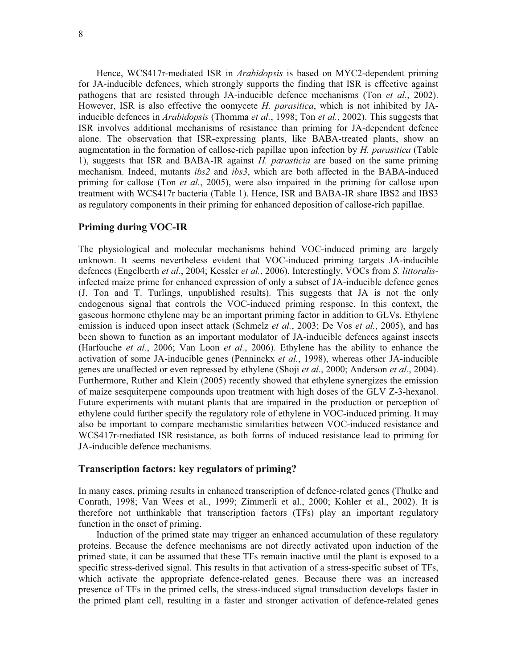Hence, WCS417r-mediated ISR in *Arabidopsis* is based on MYC2-dependent priming for JA-inducible defences, which strongly supports the finding that ISR is effective against pathogens that are resisted through JA-inducible defence mechanisms (Ton *et al.*, 2002). However, ISR is also effective the oomycete *H. parasitica*, which is not inhibited by JAinducible defences in *Arabidopsis* (Thomma *et al.*, 1998; Ton *et al.*, 2002). This suggests that ISR involves additional mechanisms of resistance than priming for JA-dependent defence alone. The observation that ISR-expressing plants, like BABA-treated plants, show an augmentation in the formation of callose-rich papillae upon infection by *H. parasitica* (Table 1), suggests that ISR and BABA-IR against *H. parasticia* are based on the same priming mechanism. Indeed, mutants *ibs2* and *ibs3*, which are both affected in the BABA-induced priming for callose (Ton *et al.*, 2005), were also impaired in the priming for callose upon treatment with WCS417r bacteria (Table 1). Hence, ISR and BABA-IR share IBS2 and IBS3 as regulatory components in their priming for enhanced deposition of callose-rich papillae.

## **Priming during VOC-IR**

The physiological and molecular mechanisms behind VOC-induced priming are largely unknown. It seems nevertheless evident that VOC-induced priming targets JA-inducible defences (Engelberth *et al.*, 2004; Kessler *et al.*, 2006). Interestingly, VOCs from *S. littoralis*infected maize prime for enhanced expression of only a subset of JA-inducible defence genes (J. Ton and T. Turlings, unpublished results). This suggests that JA is not the only endogenous signal that controls the VOC-induced priming response. In this context, the gaseous hormone ethylene may be an important priming factor in addition to GLVs. Ethylene emission is induced upon insect attack (Schmelz *et al.*, 2003; De Vos *et al.*, 2005), and has been shown to function as an important modulator of JA-inducible defences against insects (Harfouche *et al.*, 2006; Van Loon *et al.*, 2006). Ethylene has the ability to enhance the activation of some JA-inducible genes (Penninckx *et al.*, 1998), whereas other JA-inducible genes are unaffected or even repressed by ethylene (Shoji *et al.*, 2000; Anderson *et al.*, 2004). Furthermore, Ruther and Klein (2005) recently showed that ethylene synergizes the emission of maize sesquiterpene compounds upon treatment with high doses of the GLV Z-3-hexanol. Future experiments with mutant plants that are impaired in the production or perception of ethylene could further specify the regulatory role of ethylene in VOC-induced priming. It may also be important to compare mechanistic similarities between VOC-induced resistance and WCS417r-mediated ISR resistance, as both forms of induced resistance lead to priming for JA-inducible defence mechanisms.

## **Transcription factors: key regulators of priming?**

In many cases, priming results in enhanced transcription of defence-related genes (Thulke and Conrath, 1998; Van Wees et al., 1999; Zimmerli et al., 2000; Kohler et al., 2002). It is therefore not unthinkable that transcription factors (TFs) play an important regulatory function in the onset of priming.

Induction of the primed state may trigger an enhanced accumulation of these regulatory proteins. Because the defence mechanisms are not directly activated upon induction of the primed state, it can be assumed that these TFs remain inactive until the plant is exposed to a specific stress-derived signal. This results in that activation of a stress-specific subset of TFs, which activate the appropriate defence-related genes. Because there was an increased presence of TFs in the primed cells, the stress-induced signal transduction develops faster in the primed plant cell, resulting in a faster and stronger activation of defence-related genes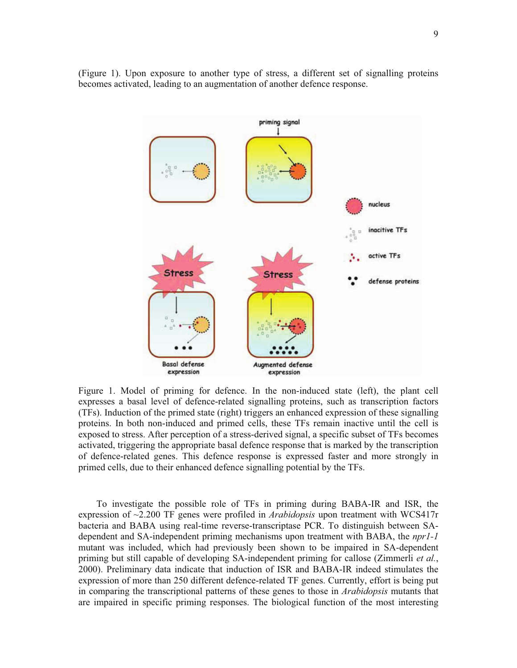

(Figure 1). Upon exposure to another type of stress, a different set of signalling proteins becomes activated, leading to an augmentation of another defence response.

Figure 1. Model of priming for defence. In the non-induced state (left), the plant cell expresses a basal level of defence-related signalling proteins, such as transcription factors (TFs). Induction of the primed state (right) triggers an enhanced expression of these signalling proteins. In both non-induced and primed cells, these TFs remain inactive until the cell is exposed to stress. After perception of a stress-derived signal, a specific subset of TFs becomes activated, triggering the appropriate basal defence response that is marked by the transcription of defence-related genes. This defence response is expressed faster and more strongly in primed cells, due to their enhanced defence signalling potential by the TFs.

To investigate the possible role of TFs in priming during BABA-IR and ISR, the expression of ~2.200 TF genes were profiled in *Arabidopsis* upon treatment with WCS417r bacteria and BABA using real-time reverse-transcriptase PCR. To distinguish between SAdependent and SA-independent priming mechanisms upon treatment with BABA, the *npr1-1* mutant was included, which had previously been shown to be impaired in SA-dependent priming but still capable of developing SA-independent priming for callose (Zimmerli *et al.*, 2000). Preliminary data indicate that induction of ISR and BABA-IR indeed stimulates the expression of more than 250 different defence-related TF genes. Currently, effort is being put in comparing the transcriptional patterns of these genes to those in *Arabidopsis* mutants that are impaired in specific priming responses. The biological function of the most interesting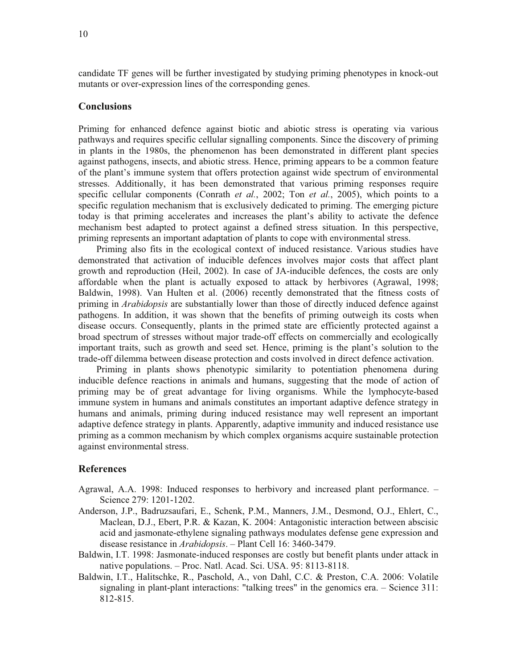candidate TF genes will be further investigated by studying priming phenotypes in knock-out mutants or over-expression lines of the corresponding genes.

## **Conclusions**

Priming for enhanced defence against biotic and abiotic stress is operating via various pathways and requires specific cellular signalling components. Since the discovery of priming in plants in the 1980s, the phenomenon has been demonstrated in different plant species against pathogens, insects, and abiotic stress. Hence, priming appears to be a common feature of the plant's immune system that offers protection against wide spectrum of environmental stresses. Additionally, it has been demonstrated that various priming responses require specific cellular components (Conrath *et al.*, 2002; Ton *et al.*, 2005), which points to a specific regulation mechanism that is exclusively dedicated to priming. The emerging picture today is that priming accelerates and increases the plant's ability to activate the defence mechanism best adapted to protect against a defined stress situation. In this perspective, priming represents an important adaptation of plants to cope with environmental stress.

Priming also fits in the ecological context of induced resistance. Various studies have demonstrated that activation of inducible defences involves major costs that affect plant growth and reproduction (Heil, 2002). In case of JA-inducible defences, the costs are only affordable when the plant is actually exposed to attack by herbivores (Agrawal, 1998; Baldwin, 1998). Van Hulten et al. (2006) recently demonstrated that the fitness costs of priming in *Arabidopsis* are substantially lower than those of directly induced defence against pathogens. In addition, it was shown that the benefits of priming outweigh its costs when disease occurs. Consequently, plants in the primed state are efficiently protected against a broad spectrum of stresses without major trade-off effects on commercially and ecologically important traits, such as growth and seed set. Hence, priming is the plant's solution to the trade-off dilemma between disease protection and costs involved in direct defence activation.

Priming in plants shows phenotypic similarity to potentiation phenomena during inducible defence reactions in animals and humans, suggesting that the mode of action of priming may be of great advantage for living organisms. While the lymphocyte-based immune system in humans and animals constitutes an important adaptive defence strategy in humans and animals, priming during induced resistance may well represent an important adaptive defence strategy in plants. Apparently, adaptive immunity and induced resistance use priming as a common mechanism by which complex organisms acquire sustainable protection against environmental stress.

## **References**

- Agrawal, A.A. 1998: Induced responses to herbivory and increased plant performance. Science 279: 1201-1202.
- Anderson, J.P., Badruzsaufari, E., Schenk, P.M., Manners, J.M., Desmond, O.J., Ehlert, C., Maclean, D.J., Ebert, P.R. & Kazan, K. 2004: Antagonistic interaction between abscisic acid and jasmonate-ethylene signaling pathways modulates defense gene expression and disease resistance in *Arabidopsis*. – Plant Cell 16: 3460-3479.
- Baldwin, I.T. 1998: Jasmonate-induced responses are costly but benefit plants under attack in native populations. – Proc. Natl. Acad. Sci. USA. 95: 8113-8118.
- Baldwin, I.T., Halitschke, R., Paschold, A., von Dahl, C.C. & Preston, C.A. 2006: Volatile signaling in plant-plant interactions: "talking trees" in the genomics era. – Science 311: 812-815.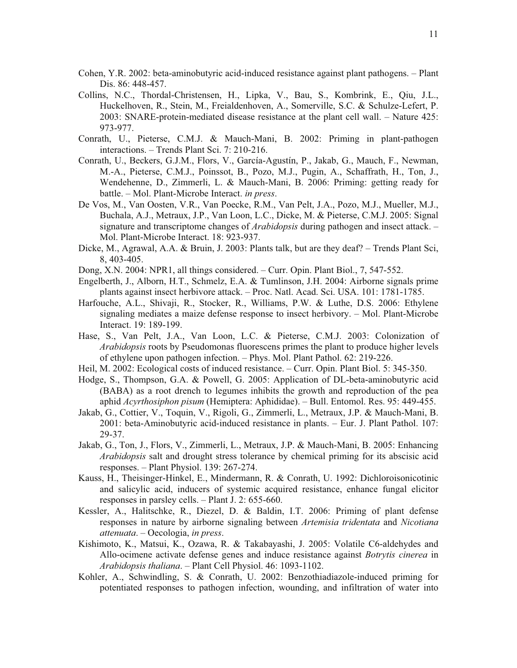- Cohen, Y.R. 2002: beta-aminobutyric acid-induced resistance against plant pathogens. Plant Dis. 86: 448-457.
- Collins, N.C., Thordal-Christensen, H., Lipka, V., Bau, S., Kombrink, E., Qiu, J.L., Huckelhoven, R., Stein, M., Freialdenhoven, A., Somerville, S.C. & Schulze-Lefert, P. 2003: SNARE-protein-mediated disease resistance at the plant cell wall. – Nature 425: 973-977.
- Conrath, U., Pieterse, C.M.J. & Mauch-Mani, B. 2002: Priming in plant-pathogen interactions. – Trends Plant Sci. 7: 210-216.
- Conrath, U., Beckers, G.J.M., Flors, V., García-Agustín, P., Jakab, G., Mauch, F., Newman, M.-A., Pieterse, C.M.J., Poinssot, B., Pozo, M.J., Pugin, A., Schaffrath, H., Ton, J., Wendehenne, D., Zimmerli, L. & Mauch-Mani, B. 2006: Priming: getting ready for battle. – Mol. Plant-Microbe Interact. *in press*.
- De Vos, M., Van Oosten, V.R., Van Poecke, R.M., Van Pelt, J.A., Pozo, M.J., Mueller, M.J., Buchala, A.J., Metraux, J.P., Van Loon, L.C., Dicke, M. & Pieterse, C.M.J. 2005: Signal signature and transcriptome changes of *Arabidopsis* during pathogen and insect attack. – Mol. Plant-Microbe Interact. 18: 923-937.
- Dicke, M., Agrawal, A.A. & Bruin, J. 2003: Plants talk, but are they deaf? Trends Plant Sci, 8, 403-405.
- Dong, X.N. 2004: NPR1, all things considered. Curr. Opin. Plant Biol., 7, 547-552.
- Engelberth, J., Alborn, H.T., Schmelz, E.A. & Tumlinson, J.H. 2004: Airborne signals prime plants against insect herbivore attack. – Proc. Natl. Acad. Sci. USA. 101: 1781-1785.
- Harfouche, A.L., Shivaji, R., Stocker, R., Williams, P.W. & Luthe, D.S. 2006: Ethylene signaling mediates a maize defense response to insect herbivory. – Mol. Plant-Microbe Interact. 19: 189-199.
- Hase, S., Van Pelt, J.A., Van Loon, L.C. & Pieterse, C.M.J. 2003: Colonization of *Arabidopsis* roots by Pseudomonas fluorescens primes the plant to produce higher levels of ethylene upon pathogen infection. – Phys. Mol. Plant Pathol. 62: 219-226.
- Heil, M. 2002: Ecological costs of induced resistance. Curr. Opin. Plant Biol. 5: 345-350.
- Hodge, S., Thompson, G.A. & Powell, G. 2005: Application of DL-beta-aminobutyric acid (BABA) as a root drench to legumes inhibits the growth and reproduction of the pea aphid *Acyrthosiphon pisum* (Hemiptera: Aphididae). – Bull. Entomol. Res. 95: 449-455.
- Jakab, G., Cottier, V., Toquin, V., Rigoli, G., Zimmerli, L., Metraux, J.P. & Mauch-Mani, B. 2001: beta-Aminobutyric acid-induced resistance in plants. – Eur. J. Plant Pathol. 107: 29-37.
- Jakab, G., Ton, J., Flors, V., Zimmerli, L., Metraux, J.P. & Mauch-Mani, B. 2005: Enhancing *Arabidopsis* salt and drought stress tolerance by chemical priming for its abscisic acid responses. – Plant Physiol. 139: 267-274.
- Kauss, H., Theisinger-Hinkel, E., Mindermann, R. & Conrath, U. 1992: Dichloroisonicotinic and salicylic acid, inducers of systemic acquired resistance, enhance fungal elicitor responses in parsley cells. – Plant J. 2: 655-660.
- Kessler, A., Halitschke, R., Diezel, D. & Baldin, I.T. 2006: Priming of plant defense responses in nature by airborne signaling between *Artemisia tridentata* and *Nicotiana attenuata*. – Oecologia, *in press*.
- Kishimoto, K., Matsui, K., Ozawa, R. & Takabayashi, J. 2005: Volatile C6-aldehydes and Allo-ocimene activate defense genes and induce resistance against *Botrytis cinerea* in *Arabidopsis thaliana*. – Plant Cell Physiol. 46: 1093-1102.
- Kohler, A., Schwindling, S. & Conrath, U. 2002: Benzothiadiazole-induced priming for potentiated responses to pathogen infection, wounding, and infiltration of water into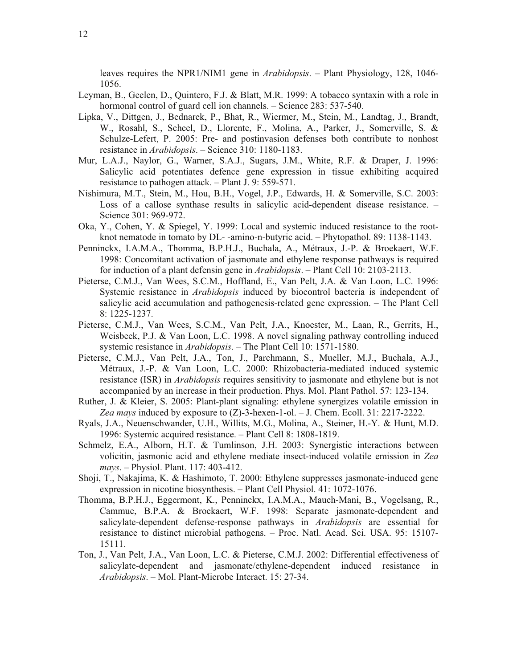leaves requires the NPR1/NIM1 gene in *Arabidopsis*. – Plant Physiology, 128, 1046- 1056.

- Leyman, B., Geelen, D., Quintero, F.J. & Blatt, M.R. 1999: A tobacco syntaxin with a role in hormonal control of guard cell ion channels. – Science 283: 537-540.
- Lipka, V., Dittgen, J., Bednarek, P., Bhat, R., Wiermer, M., Stein, M., Landtag, J., Brandt, W., Rosahl, S., Scheel, D., Llorente, F., Molina, A., Parker, J., Somerville, S. & Schulze-Lefert, P. 2005: Pre- and postinvasion defenses both contribute to nonhost resistance in *Arabidopsis*. – Science 310: 1180-1183.
- Mur, L.A.J., Naylor, G., Warner, S.A.J., Sugars, J.M., White, R.F. & Draper, J. 1996: Salicylic acid potentiates defence gene expression in tissue exhibiting acquired resistance to pathogen attack. – Plant J. 9: 559-571.
- Nishimura, M.T., Stein, M., Hou, B.H., Vogel, J.P., Edwards, H. & Somerville, S.C. 2003: Loss of a callose synthase results in salicylic acid-dependent disease resistance. – Science 301: 969-972.
- Oka, Y., Cohen, Y. & Spiegel, Y. 1999: Local and systemic induced resistance to the rootknot nematode in tomato by DL- -amino-n-butyric acid. – Phytopathol. 89: 1138-1143.
- Penninckx, I.A.M.A., Thomma, B.P.H.J., Buchala, A., Métraux, J.-P. & Broekaert, W.F. 1998: Concomitant activation of jasmonate and ethylene response pathways is required for induction of a plant defensin gene in *Arabidopsis*. – Plant Cell 10: 2103-2113.
- Pieterse, C.M.J., Van Wees, S.C.M., Hoffland, E., Van Pelt, J.A. & Van Loon, L.C. 1996: Systemic resistance in *Arabidopsis* induced by biocontrol bacteria is independent of salicylic acid accumulation and pathogenesis-related gene expression. – The Plant Cell 8: 1225-1237.
- Pieterse, C.M.J., Van Wees, S.C.M., Van Pelt, J.A., Knoester, M., Laan, R., Gerrits, H., Weisbeek, P.J. & Van Loon, L.C. 1998. A novel signaling pathway controlling induced systemic resistance in *Arabidopsis*. – The Plant Cell 10: 1571-1580.
- Pieterse, C.M.J., Van Pelt, J.A., Ton, J., Parchmann, S., Mueller, M.J., Buchala, A.J., Métraux, J.-P. & Van Loon, L.C. 2000: Rhizobacteria-mediated induced systemic resistance (ISR) in *Arabidopsis* requires sensitivity to jasmonate and ethylene but is not accompanied by an increase in their production. Phys. Mol. Plant Pathol. 57: 123-134.
- Ruther, J. & Kleier, S. 2005: Plant-plant signaling: ethylene synergizes volatile emission in *Zea mays* induced by exposure to (Z)-3-hexen-1-ol. – J. Chem. Ecoll. 31: 2217-2222.
- Ryals, J.A., Neuenschwander, U.H., Willits, M.G., Molina, A., Steiner, H.-Y. & Hunt, M.D. 1996: Systemic acquired resistance. – Plant Cell 8: 1808-1819.
- Schmelz, E.A., Alborn, H.T. & Tumlinson, J.H. 2003: Synergistic interactions between volicitin, jasmonic acid and ethylene mediate insect-induced volatile emission in *Zea mays*. – Physiol. Plant. 117: 403-412.
- Shoji, T., Nakajima, K. & Hashimoto, T. 2000: Ethylene suppresses jasmonate-induced gene expression in nicotine biosynthesis. – Plant Cell Physiol. 41: 1072-1076.
- Thomma, B.P.H.J., Eggermont, K., Penninckx, I.A.M.A., Mauch-Mani, B., Vogelsang, R., Cammue, B.P.A. & Broekaert, W.F. 1998: Separate jasmonate-dependent and salicylate-dependent defense-response pathways in *Arabidopsis* are essential for resistance to distinct microbial pathogens. – Proc. Natl. Acad. Sci. USA. 95: 15107- 15111.
- Ton, J., Van Pelt, J.A., Van Loon, L.C. & Pieterse, C.M.J. 2002: Differential effectiveness of salicylate-dependent and jasmonate/ethylene-dependent induced resistance in *Arabidopsis*. – Mol. Plant-Microbe Interact. 15: 27-34.